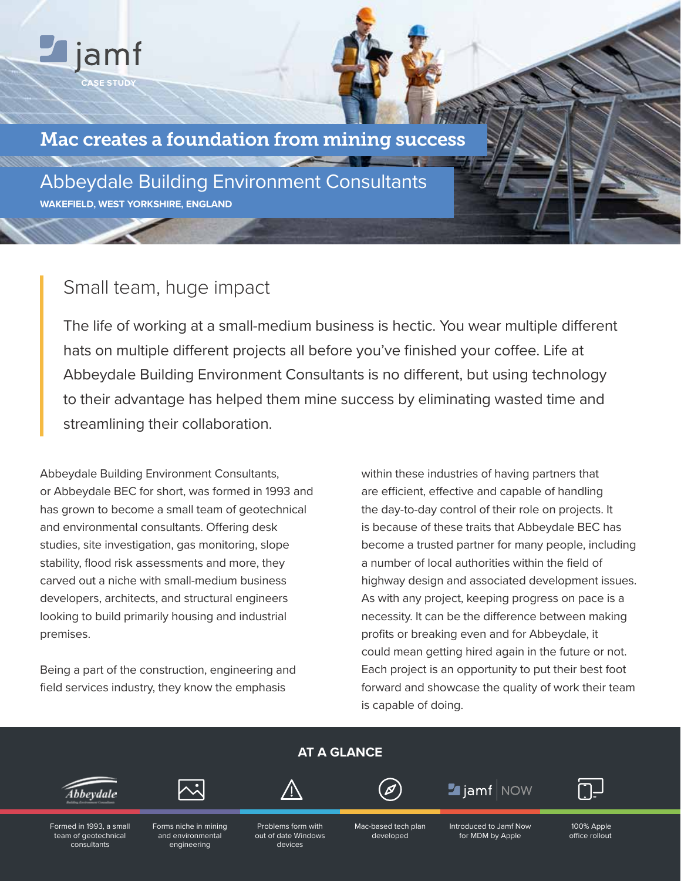

Abbeydale Building Environment Consultants **WAKEFIELD, WEST YORKSHIRE, ENGLAND**

# Small team, huge impact

**CASE STUDY**

jamf

The life of working at a small-medium business is hectic. You wear multiple different hats on multiple different projects all before you've finished your coffee. Life at Abbeydale Building Environment Consultants is no different, but using technology to their advantage has helped them mine success by eliminating wasted time and streamlining their collaboration.

Abbeydale Building Environment Consultants, or Abbeydale BEC for short, was formed in 1993 and has grown to become a small team of geotechnical and environmental consultants. Offering desk studies, site investigation, gas monitoring, slope stability, flood risk assessments and more, they carved out a niche with small-medium business developers, architects, and structural engineers looking to build primarily housing and industrial premises.

Being a part of the construction, engineering and field services industry, they know the emphasis

engineering

consultants

within these industries of having partners that are efficient, effective and capable of handling the day-to-day control of their role on projects. It is because of these traits that Abbeydale BEC has become a trusted partner for many people, including a number of local authorities within the field of highway design and associated development issues. As with any project, keeping progress on pace is a necessity. It can be the difference between making profits or breaking even and for Abbeydale, it could mean getting hired again in the future or not. Each project is an opportunity to put their best foot forward and showcase the quality of work their team is capable of doing.



devices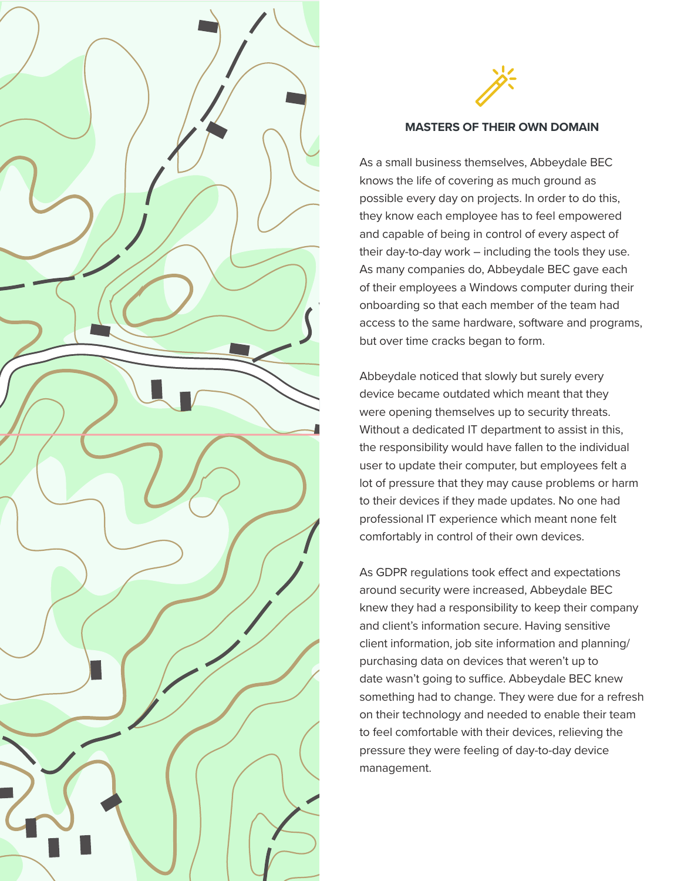



### **MASTERS OF THEIR OWN DOMAIN**

As a small business themselves, Abbeydale BEC knows the life of covering as much ground as possible every day on projects. In order to do this, they know each employee has to feel empowered and capable of being in control of every aspect of their day-to-day work – including the tools they use. As many companies do, Abbeydale BEC gave each of their employees a Windows computer during their onboarding so that each member of the team had access to the same hardware, software and programs, but over time cracks began to form.

Abbeydale noticed that slowly but surely every device became outdated which meant that they were opening themselves up to security threats. Without a dedicated IT department to assist in this, the responsibility would have fallen to the individual user to update their computer, but employees felt a lot of pressure that they may cause problems or harm to their devices if they made updates. No one had professional IT experience which meant none felt comfortably in control of their own devices.

As GDPR regulations took effect and expectations around security were increased, Abbeydale BEC knew they had a responsibility to keep their company and client's information secure. Having sensitive client information, job site information and planning/ purchasing data on devices that weren't up to date wasn't going to suffice. Abbeydale BEC knew something had to change. They were due for a refresh on their technology and needed to enable their team to feel comfortable with their devices, relieving the pressure they were feeling of day-to-day device management.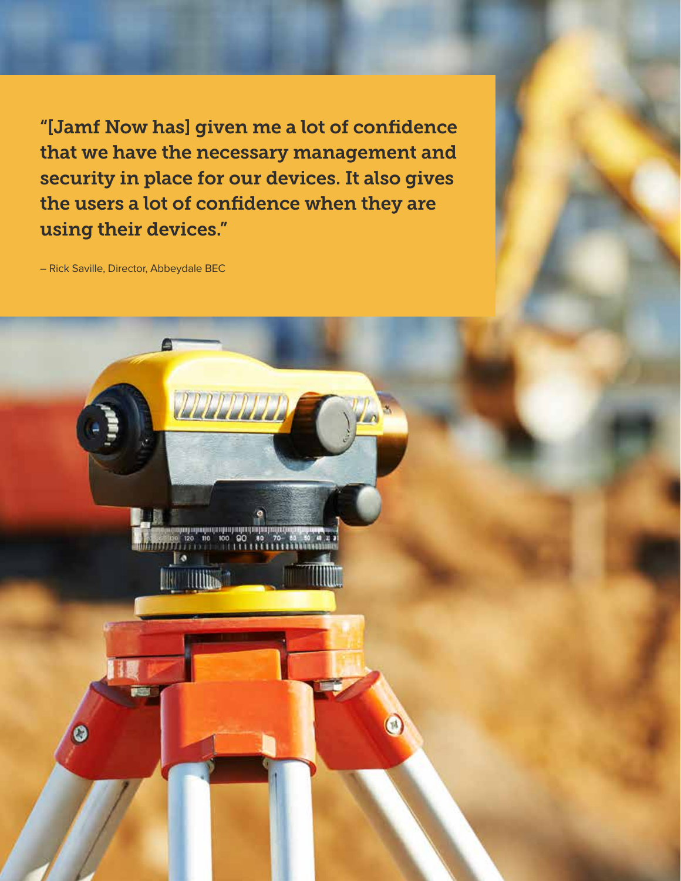"[Jamf Now has] given me a lot of confidence that we have the necessary management and security in place for our devices. It also gives the users a lot of confidence when they are using their devices."

– Rick Saville, Director, Abbeydale BEC

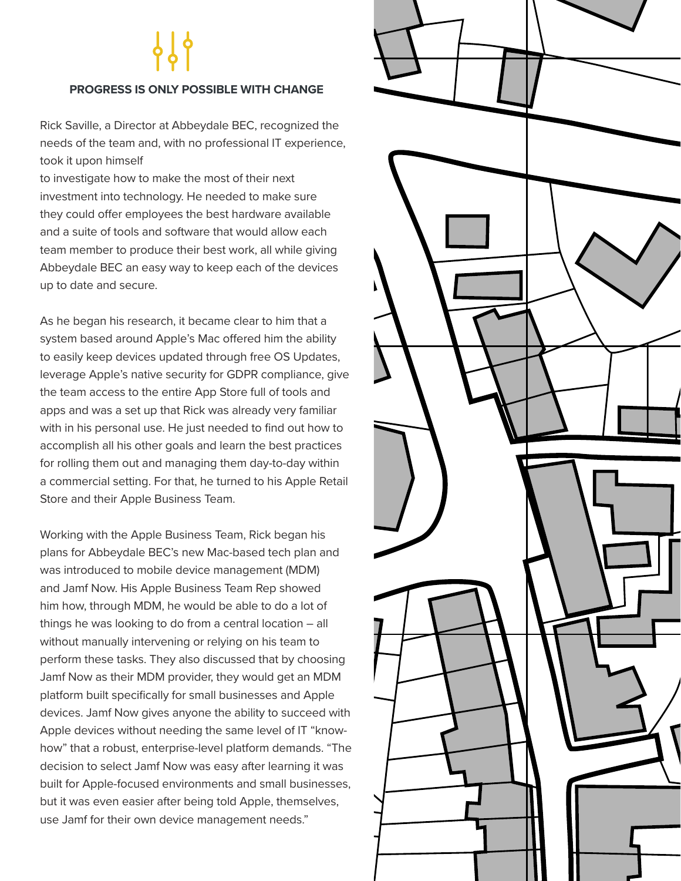# **PROGRESS IS ONLY POSSIBLE WITH CHANGE**

Rick Saville, a Director at Abbeydale BEC, recognized the needs of the team and, with no professional IT experience, took it upon himself

to investigate how to make the most of their next investment into technology. He needed to make sure they could offer employees the best hardware available and a suite of tools and software that would allow each team member to produce their best work, all while giving Abbeydale BEC an easy way to keep each of the devices up to date and secure.

As he began his research, it became clear to him that a system based around Apple's Mac offered him the ability to easily keep devices updated through free OS Updates, leverage Apple's native security for GDPR compliance, give the team access to the entire App Store full of tools and apps and was a set up that Rick was already very familiar with in his personal use. He just needed to find out how to accomplish all his other goals and learn the best practices for rolling them out and managing them day-to-day within a commercial setting. For that, he turned to his Apple Retail Store and their Apple Business Team.

Working with the Apple Business Team, Rick began his plans for Abbeydale BEC's new Mac-based tech plan and was introduced to mobile device management (MDM) and Jamf Now. His Apple Business Team Rep showed him how, through MDM, he would be able to do a lot of things he was looking to do from a central location – all without manually intervening or relying on his team to perform these tasks. They also discussed that by choosing Jamf Now as their MDM provider, they would get an MDM platform built specifically for small businesses and Apple devices. Jamf Now gives anyone the ability to succeed with Apple devices without needing the same level of IT "knowhow" that a robust, enterprise-level platform demands. "The decision to select Jamf Now was easy after learning it was built for Apple-focused environments and small businesses, but it was even easier after being told Apple, themselves, use Jamf for their own device management needs."